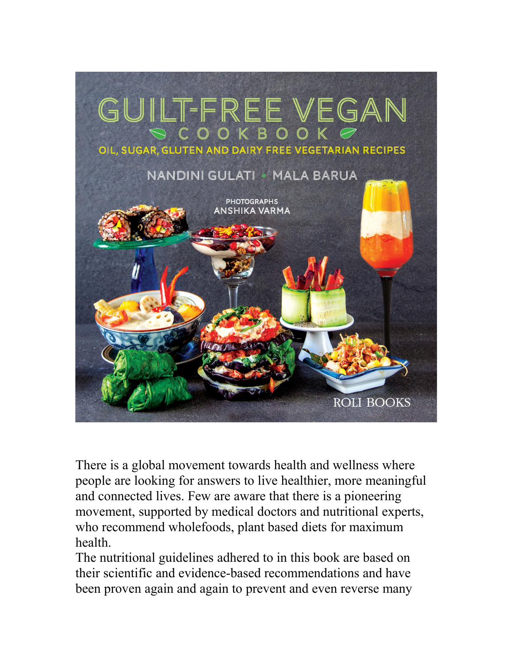

There is a global movement towards health and wellness where people are looking for answers to live healthier, more meaningful and connected lives. Few are aware that there is a pioneering movement, supported by medical doctors and nutritional experts, who recommend wholefoods, plant based diets for maximum health.

The nutritional guidelines adhered to in this book are based on their scientific and evidence-based recommendations and have been proven again and again to prevent and even reverse many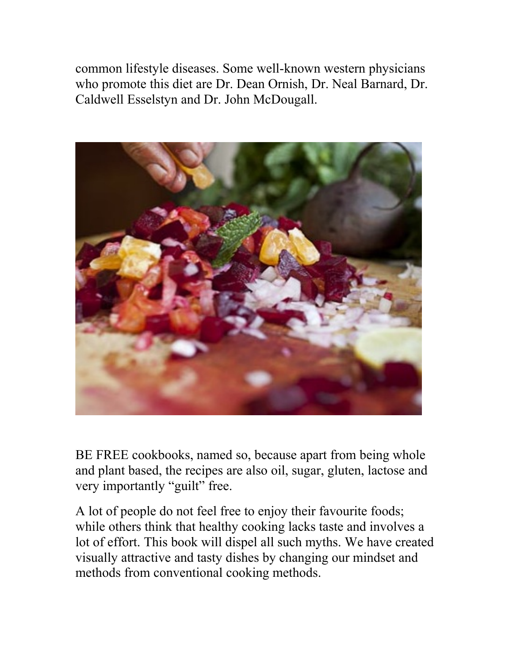common lifestyle diseases. Some well-known western physicians who promote this diet are Dr. Dean Ornish, Dr. Neal Barnard, Dr. Caldwell Esselstyn and Dr. John McDougall.



BE FREE cookbooks, named so, because apart from being whole and plant based, the recipes are also oil, sugar, gluten, lactose and very importantly "guilt" free.

A lot of people do not feel free to enjoy their favourite foods; while others think that healthy cooking lacks taste and involves a lot of effort. This book will dispel all such myths. We have created visually attractive and tasty dishes by changing our mindset and methods from conventional cooking methods.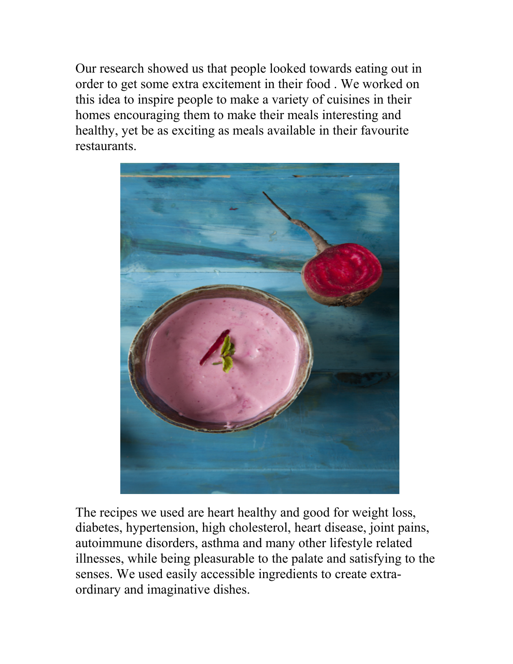Our research showed us that people looked towards eating out in order to get some extra excitement in their food . We worked on this idea to inspire people to make a variety of cuisines in their homes encouraging them to make their meals interesting and healthy, yet be as exciting as meals available in their favourite restaurants.



The recipes we used are heart healthy and good for weight loss, diabetes, hypertension, high cholesterol, heart disease, joint pains, autoimmune disorders, asthma and many other lifestyle related illnesses, while being pleasurable to the palate and satisfying to the senses. We used easily accessible ingredients to create extraordinary and imaginative dishes.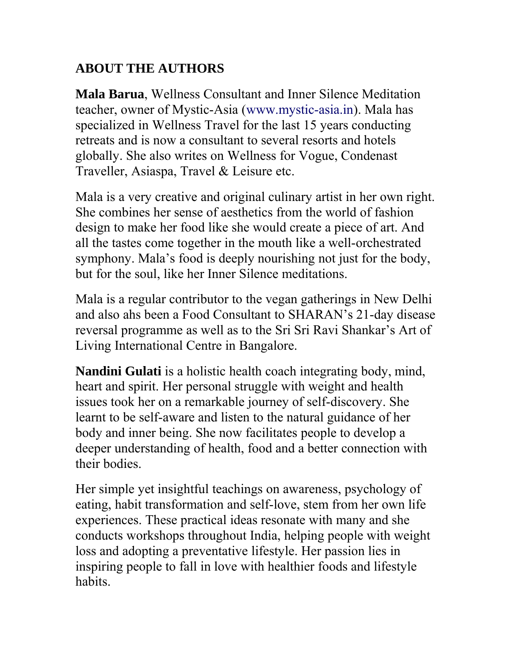## **ABOUT THE AUTHORS**

**Mala Barua**, Wellness Consultant and Inner Silence Meditation teacher, owner of Mystic-Asia (www.mystic-asia.in). Mala has specialized in Wellness Travel for the last 15 years conducting retreats and is now a consultant to several resorts and hotels globally. She also writes on Wellness for Vogue, Condenast Traveller, Asiaspa, Travel & Leisure etc.

Mala is a very creative and original culinary artist in her own right. She combines her sense of aesthetics from the world of fashion design to make her food like she would create a piece of art. And all the tastes come together in the mouth like a well-orchestrated symphony. Mala's food is deeply nourishing not just for the body, but for the soul, like her Inner Silence meditations.

Mala is a regular contributor to the vegan gatherings in New Delhi and also ahs been a Food Consultant to SHARAN's 21-day disease reversal programme as well as to the Sri Sri Ravi Shankar's Art of Living International Centre in Bangalore.

**Nandini Gulati** is a holistic health coach integrating body, mind, heart and spirit. Her personal struggle with weight and health issues took her on a remarkable journey of self-discovery. She learnt to be self-aware and listen to the natural guidance of her body and inner being. She now facilitates people to develop a deeper understanding of health, food and a better connection with their bodies.

Her simple yet insightful teachings on awareness, psychology of eating, habit transformation and self-love, stem from her own life experiences. These practical ideas resonate with many and she conducts workshops throughout India, helping people with weight loss and adopting a preventative lifestyle. Her passion lies in inspiring people to fall in love with healthier foods and lifestyle habits.